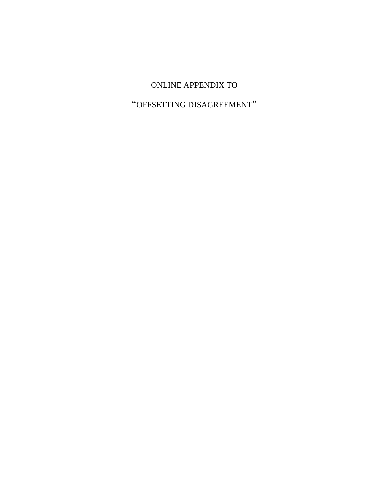## ONLINE APPENDIX TO

# "OFFSETTING DISAGREEMENT"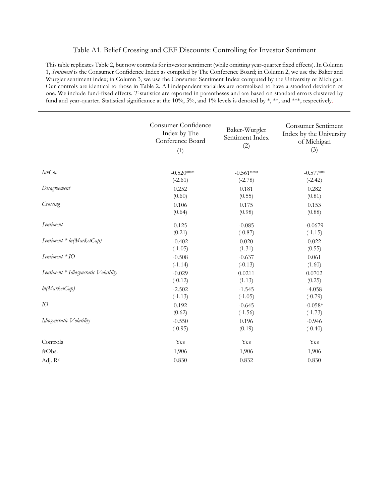#### Table A1. Belief Crossing and CEF Discounts: Controlling for Investor Sentiment

This table replicates Table 2, but now controls for investor sentiment (while omitting year-quarter fixed effects). In Column 1, *Sentiment* is the Consumer Confidence Index as compiled by The Conference Board; in Column 2, we use the Baker and Wurgler sentiment index; in Column 3, we use the Consumer Sentiment Index computed by the University of Michigan. Our controls are identical to those in Table 2. All independent variables are normalized to have a standard deviation of one. We include fund-fixed effects. *T*-statistics are reported in parentheses and are based on standard errors clustered by fund and year-quarter. Statistical significance at the 10%, 5%, and 1% levels is denoted by \*, \*\*, and \*\*\*, respectively.

|                                      | Consumer Confidence<br>Index by The<br>Conference Board<br>(1) | Baker-Wurgler<br>Sentiment Index<br>(2) | <b>Consumer Sentiment</b><br>Index by the University<br>of Michigan<br>(3) |
|--------------------------------------|----------------------------------------------------------------|-----------------------------------------|----------------------------------------------------------------------------|
| <b>InvCov</b>                        | $-0.520***$                                                    | $-0.561***$                             | $-0.577**$                                                                 |
|                                      | $(-2.61)$                                                      | $(-2.78)$                               | $(-2.42)$                                                                  |
| Disagreement                         | 0.252                                                          | 0.181                                   | 0.282                                                                      |
|                                      | (0.60)                                                         | (0.55)                                  | (0.81)                                                                     |
| Crossing                             | 0.106                                                          | 0.175                                   | 0.153                                                                      |
|                                      | (0.64)                                                         | (0.98)                                  | (0.88)                                                                     |
| Sentiment                            | 0.125                                                          | $-0.085$                                | $-0.0679$                                                                  |
|                                      | (0.21)                                                         | $(-0.87)$                               | $(-1.15)$                                                                  |
| Sentiment * ln(MarketCap)            | $-0.402$                                                       | 0.020                                   | 0.022                                                                      |
|                                      | $(-1.05)$                                                      | (1.31)                                  | (0.55)                                                                     |
| $Sentiment * IO$                     | $-0.508$                                                       | $-0.637$                                | 0.061                                                                      |
|                                      | $(-1.14)$                                                      | $(-0.13)$                               | (1.60)                                                                     |
| Sentiment * Idiosyncratic Volatility | $-0.029$                                                       | 0.0211                                  | 0.0702                                                                     |
|                                      | $(-0.12)$                                                      | (1.13)                                  | (0.25)                                                                     |
| ln(MarketCap)                        | $-2.502$                                                       | $-1.545$                                | $-4.058$                                                                   |
|                                      | $(-1.13)$                                                      | $(-1.05)$                               | $(-0.79)$                                                                  |
| IO                                   | 0.192                                                          | $-0.645$                                | $-0.058*$                                                                  |
|                                      | (0.62)                                                         | $(-1.56)$                               | $(-1.73)$                                                                  |
| Idiosyncratic Volatility             | $-0.550$                                                       | 0.196                                   | $-0.946$                                                                   |
|                                      | $(-0.95)$                                                      | (0.19)                                  | $(-0.40)$                                                                  |
| Controls                             | Yes                                                            | Yes                                     | Yes                                                                        |
| #Obs.                                | 1,906                                                          | 1,906                                   | 1,906                                                                      |
| Adj. R <sup>2</sup>                  | 0.830                                                          | 0.832                                   | 0.830                                                                      |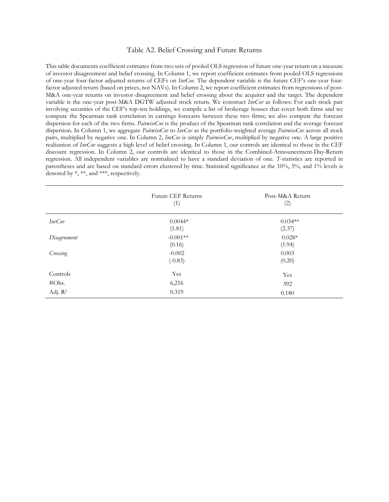#### Table A2. Belief Crossing and Future Returns

This table documents coefficient estimates from two sets of pooled OLS regression of future one-year return on a measure of investor disagreement and belief crossing. In Column 1, we report coefficient estimates from pooled OLS regressions of one-year four-factor adjusted returns of CEFs on *InvCov*. The dependent variable is the future CEF's one-year fourfactor adjusted return (based on prices, not NAVs). In Column 2, we report coefficient estimates from regressions of post-M&A one-year returns on investor disagreement and belief crossing about the acquirer and the target. The dependent variable is the one-year post-M&A DGTW adjusted stock return. We construct *InvCov* as follows: For each stock pair involving securities of the CEF's top-ten holdings, we compile a list of brokerage houses that cover both firms and we compute the Spearman rank correlation in earnings forecasts between these two firms; we also compute the forecast dispersion for each of the two firms. *PairwiseCov* is the product of the Spearman rank correlation and the average forecast dispersion. In Column 1, we aggregate *PairwiseCov* to *InvCov* as the portfolio-weighted average *PairwiseCov* across all stock pairs, multiplied by negative one. In Column 2, *InvCov* is simply *PairwiseCov*, multiplied by negative one. A large positive realization of *InvCov* suggests a high level of belief crossing. In Column 1, our controls are identical to those in the CEF discount regression. In Column 2, our controls are identical to those in the Combined-Announcement-Day-Return regression. All independent variables are normalized to have a standard deviation of one. *T*-statistics are reported in parentheses and are based on standard errors clustered by time. Statistical significance at the 10%, 5%, and 1% levels is denoted by \*, \*\*, and \*\*\*, respectively.

|                     | <b>Future CEF Returns</b><br>(1) | Post-M&A Return<br>(2) |
|---------------------|----------------------------------|------------------------|
| <b>InvCov</b>       | $0.0044*$<br>(1.81)              | $0.034**$<br>(2.37)    |
| Disagreement        | $-0.001**$<br>(0.16)             | $0.028*$<br>(1.94)     |
| Crossing            | $-0.002$<br>$(-0.83)$            | 0.003<br>(0.20)        |
| Controls            | Yes                              | Yes                    |
| #Obs.               | 6,216                            | 392                    |
| Adj. R <sup>2</sup> | 0.319                            | 0.180                  |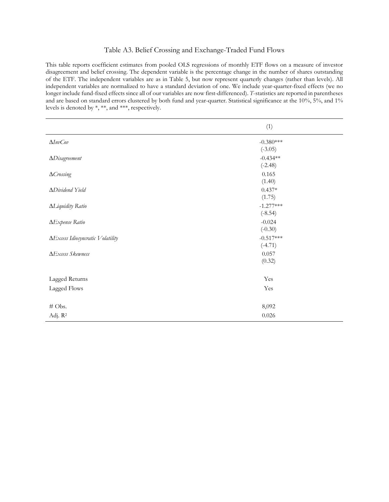#### Table A3. Belief Crossing and Exchange-Traded Fund Flows

This table reports coefficient estimates from pooled OLS regressions of monthly ETF flows on a measure of investor disagreement and belief crossing. The dependent variable is the percentage change in the number of shares outstanding of the ETF. The independent variables are as in Table 5, but now represent quarterly changes (rather than levels). All independent variables are normalized to have a standard deviation of one. We include year-quarter-fixed effects (we no longer include fund-fixed effects since all of our variables are now first-differenced). *T*-statistics are reported in parentheses and are based on standard errors clustered by both fund and year-quarter. Statistical significance at the 10%, 5%, and 1% levels is denoted by \*, \*\*, and \*\*\*, respectively.

|                                         | (1)                      |  |
|-----------------------------------------|--------------------------|--|
| $\Delta InvCov$                         | $-0.380***$<br>$(-3.05)$ |  |
| $\Delta Disagreement$                   | $-0.434**$<br>$(-2.48)$  |  |
| $\Delta C$ rossing                      | 0.165<br>(1.40)          |  |
| $\Delta Dividend$ Yield                 | $0.437*$<br>(1.75)       |  |
| <b>ALiquidity Ratio</b>                 | $-1.277***$<br>$(-8.54)$ |  |
| <b>AExpense Ratio</b>                   | $-0.024$<br>$(-0.30)$    |  |
| <b>AExcess Idiosyncratic Volatility</b> | $-0.517***$<br>$(-4.71)$ |  |
| <b>AExcess Skewness</b>                 | 0.057<br>(0.32)          |  |
| Lagged Returns                          | Yes                      |  |
| Lagged Flows                            | Yes                      |  |
| # Obs.                                  | 8,092                    |  |
| Adj. $R^2$                              | 0.026                    |  |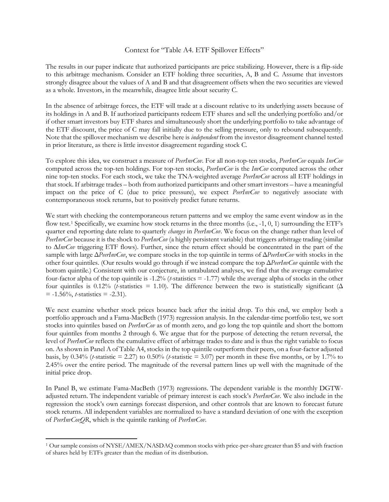#### Context for "Table A4. ETF Spillover Effects"

The results in our paper indicate that authorized participants are price stabilizing. However, there is a flip-side to this arbitrage mechanism. Consider an ETF holding three securities, A, B and C. Assume that investors strongly disagree about the values of A and B and that disagreement offsets when the two securities are viewed as a whole. Investors, in the meanwhile, disagree little about security C.

In the absence of arbitrage forces, the ETF will trade at a discount relative to its underlying assets because of its holdings in A and B. If authorized participants redeem ETF shares and sell the underlying portfolio and/or if other smart investors buy ETF shares and simultaneously short the underlying portfolio to take advantage of the ETF discount, the price of C may fall initially due to the selling pressure, only to rebound subsequently. Note that the spillover mechanism we describe here is *independent* from the investor disagreement channel tested in prior literature, as there is little investor disagreement regarding stock C.

To explore this idea, we construct a measure of *PeerInvCov*. For all non-top-ten stocks, *PeerInvCov* equals *InvCov* computed across the top-ten holdings. For top-ten stocks, *PeerInvCov* is the *InvCov* computed across the other nine top-ten stocks. For each stock, we take the TNA-weighted average *PeerInvCov* across all ETF holdings in that stock. If arbitrage trades – both from authorized participants and other smart investors – have a meaningful impact on the price of C (due to price pressure), we expect *PeerInvCov* to negatively associate with contemporaneous stock returns, but to positively predict future returns.

We start with checking the contemporaneous return patterns and we employ the same event window as in the flow test.<sup>[1](#page-4-0)</sup> Specifically, we examine how stock returns in the three months (i.e.,  $-1$ , 0, 1) surrounding the ETF's quarter end reporting date relate to quarterly *changes* in *PeerInvCov*. We focus on the change rather than level of *PeerInvCov* because it is the shock to *PeerInvCov* (a highly persistent variable) that triggers arbitrage trading (similar to ∆*InvCov* triggering ETF flows). Further, since the return effect should be concentrated in the part of the sample with large Δ*PeerInvCov*, we compare stocks in the top quintile in terms of Δ*PeerInvCov* with stocks in the other four quintiles. (Our results would go through if we instead compare the top Δ*PeerInvCov* quintile with the bottom quintile.) Consistent with our conjecture, in untabulated analyses, we find that the average cumulative four-factor alpha of the top quintile is -1.2% (*t*-statistics = -1.77) while the average alpha of stocks in the other four quintiles is 0.12% (*t*-statistics = 1.10). The difference between the two is statistically significant ( $\Delta$  $= -1.56\%$ , *t*-statistics  $= -2.31$ ).

We next examine whether stock prices bounce back after the initial drop. To this end, we employ both a portfolio approach and a Fama-MacBeth (1973) regression analysis. In the calendar-time portfolio test, we sort stocks into quintiles based on *PeerInvCov* as of month zero, and go long the top quintile and short the bottom four quintiles from months 2 through 6. We argue that for the purpose of detecting the return reversal, the level of *PeerInvCov* reflects the cumulative effect of arbitrage trades to date and is thus the right variable to focus on. As shown in Panel A of Table A4, stocks in the top quintile outperform their peers, on a four-factor adjusted basis, by  $0.34\%$  (*t*-statistic = 2.27) to  $0.50\%$  (*t*-statistic = 3.07) per month in these five months, or by 1.7% to 2.45% over the entire period. The magnitude of the reversal pattern lines up well with the magnitude of the initial price drop.

In Panel B, we estimate Fama-MacBeth (1973) regressions. The dependent variable is the monthly DGTWadjusted return. The independent variable of primary interest is each stock's *PeerInvCov*. We also include in the regression the stock's own earnings forecast dispersion, and other controls that are known to forecast future stock returns. All independent variables are normalized to have a standard deviation of one with the exception of *PeerInvCovQR*, which is the quintile ranking of *PeerInvCov*.

<span id="page-4-0"></span>l <sup>1</sup> Our sample consists of NYSE/AMEX/NASDAQ common stocks with price-per-share greater than \$5 and with fraction of shares held by ETFs greater than the median of its distribution.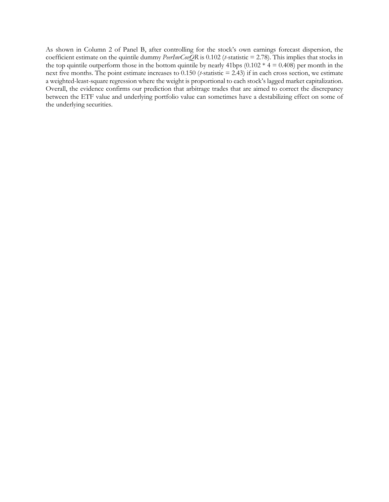As shown in Column 2 of Panel B, after controlling for the stock's own earnings forecast dispersion, the coefficient estimate on the quintile dummy *PeerInvCovQR* is 0.102 (*t*-statistic = 2.78). This implies that stocks in the top quintile outperform those in the bottom quintile by nearly 41bps  $(0.102 * 4 = 0.408)$  per month in the next five months. The point estimate increases to 0.150 (*t*-statistic = 2.43) if in each cross section, we estimate a weighted-least-square regression where the weight is proportional to each stock's lagged market capitalization. Overall, the evidence confirms our prediction that arbitrage trades that are aimed to correct the discrepancy between the ETF value and underlying portfolio value can sometimes have a destabilizing effect on some of the underlying securities.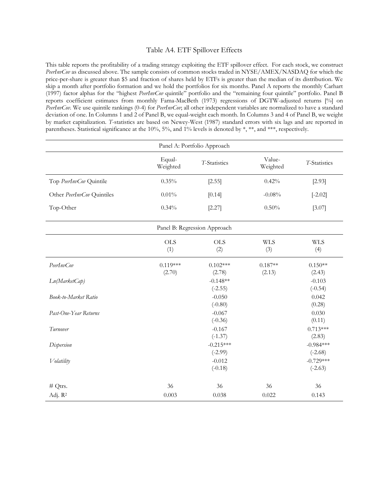#### Table A4. ETF Spillover Effects

This table reports the profitability of a trading strategy exploiting the ETF spillover effect. For each stock, we construct *PeerInvCov* as discussed above. The sample consists of common stocks traded in NYSE/AMEX/NASDAQ for which the price-per-share is greater than \$5 and fraction of shares held by ETFs is greater than the median of its distribution. We skip a month after portfolio formation and we hold the portfolios for six months. Panel A reports the monthly Carhart (1997) factor alphas for the "highest *PeerInvCov* quintile" portfolio and the "remaining four quintile" portfolio. Panel B reports coefficient estimates from monthly Fama-MacBeth (1973) regressions of DGTW-adjusted returns [%] on *PeerInvCov.* We use quintile rankings (0-4) for *PeerInvCov*; all other independent variables are normalized to have a standard deviation of one. In Columns 1 and 2 of Panel B, we equal-weight each month. In Columns 3 and 4 of Panel B, we weight by market capitalization. *T*-statistics are based on Newey-West (1987) standard errors with six lags and are reported in [parentheses.](http://www.baidu.com/link?url=zl44yuWE4MX4PBnXkiOWYsspxfaTTNZDAY_KeY8AWqmlPtlzrARvJK--HzyxwrtbWgj-b_3aBpFvks-nCxJoPTsHLFEsqzFVq7B8EVqhWs3) Statistical significance at the 10%, 5%, and 1% levels is denoted by \*, \*\*, and \*\*\*, respectively.

| Panel A: Portfolio Approach |                      |                              |                     |                          |
|-----------------------------|----------------------|------------------------------|---------------------|--------------------------|
|                             | Equal-<br>Weighted   | T-Statistics                 | Value-<br>Weighted  | T-Statistics             |
| Top PeerInvCov Quintile     | 0.35%                | [2.55]                       | 0.42%               | [2.93]                   |
| Other PeerInvCov Quintiles  | $0.01\%$             | [0.14]                       | $-0.08%$            | $[-2.02]$                |
| Top-Other                   | 0.34%                | [2.27]                       | 0.50%               | [3.07]                   |
|                             |                      | Panel B: Regression Approach |                     |                          |
|                             | <b>OLS</b><br>(1)    | <b>OLS</b><br>(2)            | <b>WLS</b><br>(3)   | <b>WLS</b><br>(4)        |
| PeerInvCov                  | $0.119***$<br>(2.70) | $0.102***$<br>(2.78)         | $0.187**$<br>(2.13) | $0.150**$<br>(2.43)      |
| Ln(MarketCap)               |                      | $-0.148**$<br>$(-2.55)$      |                     | $-0.103$<br>$(-0.54)$    |
| Book-to-Market Ratio        |                      | $-0.050$<br>$(-0.80)$        |                     | 0.042<br>(0.28)          |
| Past-One-Year Returns       |                      | $-0.067$<br>$(-0.36)$        |                     | 0.030<br>(0.11)          |
| Turnover                    |                      | $-0.167$<br>$(-1.37)$        |                     | $0.713***$<br>(2.83)     |
| Dispersion                  |                      | $-0.215***$<br>$(-2.99)$     |                     | $-0.984***$<br>$(-2.68)$ |
| Volatility                  |                      | $-0.012$<br>$(-0.18)$        |                     | $-0.729***$<br>$(-2.63)$ |
| $# Q$ trs.                  | 36                   | 36                           | 36                  | 36                       |
| Adj. R <sup>2</sup>         | 0.003                | 0.038                        | 0.022               | 0.143                    |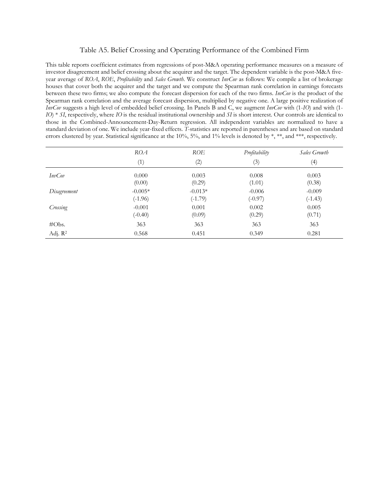#### Table A5. Belief Crossing and Operating Performance of the Combined Firm

This table reports coefficient estimates from regressions of post-M&A operating performance measures on a measure of investor disagreement and belief crossing about the acquirer and the target. The dependent variable is the post-M&A fiveyear average of *ROA*, *ROE*, *Profitability* and *Sales Growth*. We construct *InvCov* as follows: We compile a list of brokerage houses that cover both the acquirer and the target and we compute the Spearman rank correlation in earnings forecasts between these two firms; we also compute the forecast dispersion for each of the two firms. *InvCov* is the product of the Spearman rank correlation and the average forecast dispersion, multiplied by negative one. A large positive realization of *InvCov* suggests a high level of embedded belief crossing. In Panels B and C, we augment *InvCov* with (1-*IO*) and with (1- *IO*) \* *SI*, respectively, where *IO* is the residual institutional ownership and *SI* is short interest. Our controls are identical to those in the Combined-Announcement-Day-Return regression. All independent variables are normalized to have a standard deviation of one. We include year-fixed effects. *T*-statistics are reported in parentheses and are based on standard errors clustered by year. Statistical significance at the 10%, 5%, and 1% levels is denoted by \*, \*\*, and \*\*\*, respectively.

|               | ROA                    | ROE                    | Profitability         | Sales Growth          |
|---------------|------------------------|------------------------|-----------------------|-----------------------|
|               | (1)                    | (2)                    | (3)                   | (4)                   |
| <i>InvCov</i> | 0.000<br>(0.00)        | 0.003<br>(0.29)        | 0.008<br>(1.01)       | 0.003<br>(0.38)       |
| Disagreement  | $-0.005*$<br>$(-1.96)$ | $-0.013*$<br>$(-1.79)$ | $-0.006$<br>$(-0.97)$ | $-0.009$<br>$(-1.43)$ |
| Crossing      | $-0.001$<br>$(-0.40)$  | 0.001<br>(0.09)        | 0.002<br>(0.29)       | 0.005<br>(0.71)       |
| #Obs.         | 363                    | 363                    | 363                   | 363                   |
| Adj. $R^2$    | 0.568                  | 0.451                  | 0.349                 | 0.281                 |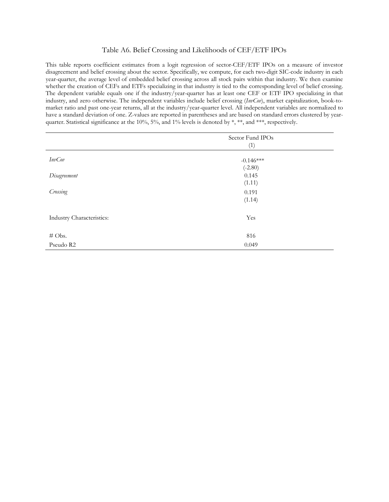#### Table A6. Belief Crossing and Likelihoods of CEF/ETF IPOs

This table reports coefficient estimates from a logit regression of sector-CEF/ETF IPOs on a measure of investor disagreement and belief crossing about the sector. Specifically, we compute, for each two-digit SIC-code industry in each year-quarter, the average level of embedded belief crossing across all stock pairs within that industry. We then examine whether the creation of CEFs and ETFs specializing in that industry is tied to the corresponding level of belief crossing. The dependent variable equals one if the industry/year-quarter has at least one CEF or ETF IPO specializing in that industry, and zero otherwise. The independent variables include belief crossing (*InvCov*), market capitalization, book-tomarket ratio and past one-year returns, all at the industry/year-quarter level. All independent variables are normalized to have a standard deviation of one. Z-values are reported in parentheses and are based on standard errors clustered by yearquarter. Statistical significance at the 10%, 5%, and 1% levels is denoted by \*, \*\*, and \*\*\*, respectively.

|                           | Sector Fund IPOs<br>(1)  |  |
|---------------------------|--------------------------|--|
| <b>InvCov</b>             | $-0.146***$<br>$(-2.80)$ |  |
| Disagreement              | 0.145<br>(1.11)          |  |
| Crossing                  | 0.191<br>(1.14)          |  |
| Industry Characteristics: | Yes                      |  |
| # Obs.                    | 816                      |  |
| Pseudo R2                 | 0.049                    |  |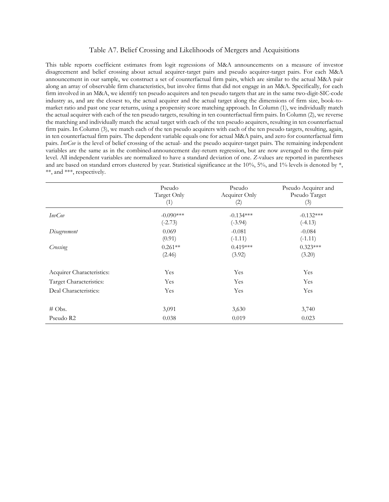#### Table A7. Belief Crossing and Likelihoods of Mergers and Acquisitions

This table reports coefficient estimates from logit regressions of M&A announcements on a measure of investor disagreement and belief crossing about actual acquirer-target pairs and pseudo acquirer-target pairs. For each M&A announcement in our sample, we construct a set of counterfactual firm pairs, which are similar to the actual M&A pair along an array of observable firm characteristics, but involve firms that did not engage in an M&A. Specifically, for each firm involved in an M&A, we identify ten pseudo acquirers and ten pseudo targets that are in the same two-digit-SIC-code industry as, and are the closest to, the actual acquirer and the actual target along the dimensions of firm size, book-tomarket ratio and past one year returns, using a propensity score matching approach. In Column (1), we individually match the actual acquirer with each of the ten pseudo targets, resulting in ten counterfactual firm pairs. In Column (2), we reverse the matching and individually match the actual target with each of the ten pseudo acquirers, resulting in ten counterfactual firm pairs. In Column (3), we match each of the ten pseudo acquirers with each of the ten pseudo targets, resulting, again, in ten counterfactual firm pairs. The dependent variable equals one for actual M&A pairs, and zero for counterfactual firm pairs. *InvCov* is the level of belief crossing of the actual- and the pseudo acquirer-target pairs. The remaining independent variables are the same as in the combined-announcement day-return regression, but are now averaged to the firm-pair level. All independent variables are normalized to have a standard deviation of one. *Z*-values are reported in parentheses and are based on standard errors clustered by year. Statistical significance at the  $10\%$ ,  $5\%$ , and  $1\%$  levels is denoted by  $*$ , \*\*, and \*\*\*, respectively.

|                           | Pseudo<br>Target Only<br>(1) | Pseudo<br>Acquirer Only<br>(2) | Pseudo Acquirer and<br>Pseudo Target<br>(3) |
|---------------------------|------------------------------|--------------------------------|---------------------------------------------|
| <i>InvCov</i>             | $-0.090***$                  | $-0.134***$                    | $-0.132***$                                 |
|                           | $(-2.73)$                    | $(-3.94)$                      | $(-4.13)$                                   |
| Disagreement              | 0.069<br>(0.91)              | $-0.081$<br>$(-1.11)$          | $-0.084$<br>$(-1.11)$                       |
| Crossing                  | $0.261**$<br>(2.46)          | $0.419***$<br>(3.92)           | $0.323***$<br>(3.20)                        |
| Acquirer Characteristics: | Yes                          | Yes                            | Yes                                         |
| Target Characteristics:   | Yes                          | Yes                            | Yes                                         |
| Deal Characteristics:     | Yes                          | Yes                            | Yes                                         |
| $\#$ Obs.                 | 3,091                        | 3,630                          | 3,740                                       |
| Pseudo R2                 | 0.038                        | 0.019                          | 0.023                                       |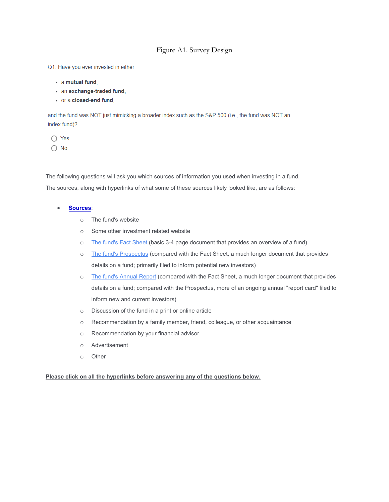#### Figure A1. Survey Design

Q1: Have you ever invested in either

- a mutual fund.
- an exchange-traded fund,
- or a closed-end fund.

and the fund was NOT just mimicking a broader index such as the S&P 500 (i.e., the fund was NOT an index fund)?

- $\bigcap$  Yes
- $\bigcap$  No

The following questions will ask you which sources of information you used when investing in a fund. The sources, along with hyperlinks of what some of these sources likely looked like, are as follows:

- **Sources**:
	- o The fund's website
	- o Some other investment related website
	- o [The fund's Fact Sheet](https://cornell.qualtrics.com/CP/File.php?F=F_8rawtTrPVxIvkRD) (basic 3-4 page document that provides an overview of a fund)
	- o [The fund's Prospectus](https://cornell.qualtrics.com/CP/File.php?F=F_egnlX7Q5KGbtU1f) (compared with the Fact Sheet, a much longer document that provides details on a fund; primarily filed to inform potential new investors)
	- o [The fund's Annual Report](https://cornell.qualtrics.com/CP/File.php?F=F_8BRuGOGxlYfP9Jj) (compared with the Fact Sheet, a much longer document that provides details on a fund; compared with the Prospectus, more of an ongoing annual "report card" filed to inform new and current investors)
	- o Discussion of the fund in a print or online article
	- o Recommendation by a family member, friend, colleague, or other acquaintance
	- o Recommendation by your financial advisor
	- o Advertisement
	- o Other

#### **Please click on all the hyperlinks before answering any of the questions below.**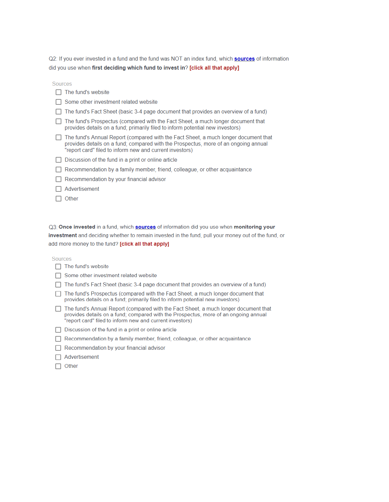Q2: If you ever invested in a fund and the fund was NOT an index fund, which sources of information did you use when first deciding which fund to invest in? [click all that apply]

Sources

| The fund's website |
|--------------------|
|--------------------|

- $\Box$  Some other investment related website
- □ The fund's Fact Sheet (basic 3-4 page document that provides an overview of a fund)
- □ The fund's Prospectus (compared with the Fact Sheet, a much longer document that provides details on a fund; primarily filed to inform potential new investors)
- The fund's Annual Report (compared with the Fact Sheet, a much longer document that provides details on a fund; compared with the Prospectus, more of an ongoing annual "report card" filed to inform new and current investors)
- $\Box$  Discussion of the fund in a print or online article
- Recommendation by a family member, friend, colleague, or other acquaintance
- $\Box$  Recommendation by your financial advisor
- $\Box$  Advertisement
- $\Box$  Other

Q3: Once invested in a fund, which sources of information did you use when monitoring your investment and deciding whether to remain invested in the fund, pull your money out of the fund, or add more money to the fund? [click all that apply]

Sources

 $\Box$  The fund's website

□ Some other investment related website

- $\Box$  The fund's Fact Sheet (basic 3-4 page document that provides an overview of a fund)
- □ The fund's Prospectus (compared with the Fact Sheet, a much longer document that provides details on a fund; primarily filed to inform potential new investors)
- The fund's Annual Report (compared with the Fact Sheet, a much longer document that provides details on a fund; compared with the Prospectus, more of an ongoing annual "report card" filed to inform new and current investors)
- $\Box$  Discussion of the fund in a print or online article
- Recommendation by a family member, friend, colleague, or other acquaintance
- Recommendation by your financial advisor
- $\Box$  Advertisement
- $\Box$  Other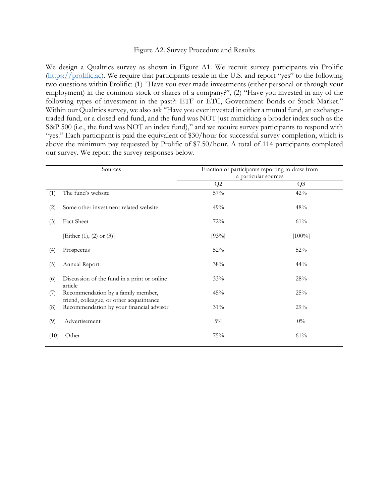#### Figure A2. Survey Procedure and Results

We design a Qualtrics survey as shown in Figure A1. We recruit survey participants via Prolific [\(https://prolific.ac\)](https://prolific.ac/). We require that participants reside in the U.S. and report "yes" to the following two questions within Prolific: (1) "Have you ever made investments (either personal or through your employment) in the common stock or shares of a company?", (2) "Have you invested in any of the following types of investment in the past?: ETF or ETC, Government Bonds or Stock Market." Within our Qualtrics survey, we also ask "Have you ever invested in either a mutual fund, an exchangetraded fund, or a closed-end fund, and the fund was NOT just mimicking a broader index such as the S&P 500 (i.e., the fund was NOT an index fund)," and we require survey participants to respond with "yes." Each participant is paid the equivalent of \$30/hour for successful survey completion, which is above the minimum pay requested by Prolific of \$7.50/hour. A total of 114 participants completed our survey. We report the survey responses below.

| Sources |                                                                                | Fraction of participants reporting to draw from<br>a particular sources |                |
|---------|--------------------------------------------------------------------------------|-------------------------------------------------------------------------|----------------|
|         |                                                                                | Q2                                                                      | Q <sub>3</sub> |
| (1)     | The fund's website                                                             | 57%                                                                     | 42%            |
| (2)     | Some other investment related website                                          | 49%                                                                     | 48%            |
| (3)     | <b>Fact Sheet</b>                                                              | 72%                                                                     | 61%            |
|         | [Either (1), (2) or (3)]                                                       | [93%]                                                                   | $[100\%]$      |
| (4)     | Prospectus                                                                     | 52%                                                                     | 52%            |
| (5)     | Annual Report                                                                  | $38\%$                                                                  | 44%            |
| (6)     | Discussion of the fund in a print or online<br>article                         | 33%                                                                     | 28%            |
| (7)     | Recommendation by a family member,<br>friend, colleague, or other acquaintance | 45%                                                                     | 25%            |
| (8)     | Recommendation by your financial advisor                                       | 31%                                                                     | 29%            |
| (9)     | Advertisement                                                                  | $5\%$                                                                   | $0\%$          |
| (10)    | Other                                                                          | 75%                                                                     | 61%            |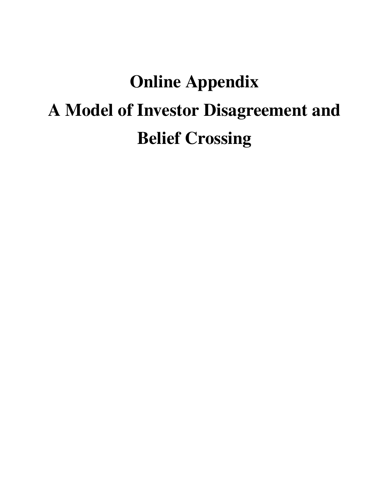# Online Appendix A Model of Investor Disagreement and Belief Crossing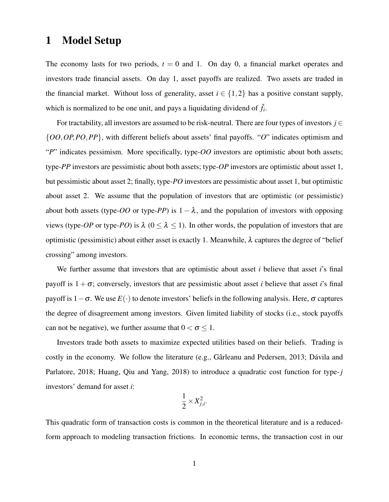## 1 Model Setup

The economy lasts for two periods,  $t = 0$  and 1. On day 0, a financial market operates and investors trade financial assets. On day 1, asset payoffs are realized. Two assets are traded in the financial market. Without loss of generality, asset  $i \in \{1,2\}$  has a positive constant supply, which is normalized to be one unit, and pays a liquidating dividend of  $\tilde{f}_i$ .

For tractability, all investors are assumed to be risk-neutral. There are four types of investors  $j \in$ {*OO*,*OP*,*PO*,*PP*}, with different beliefs about assets' final payoffs. "*O*" indicates optimism and "*P*" indicates pessimism. More specifically, type-*OO* investors are optimistic about both assets; type-*PP* investors are pessimistic about both assets; type-*OP* investors are optimistic about asset 1, but pessimistic about asset 2; finally, type-*PO* investors are pessimistic about asset 1, but optimistic about asset 2. We assume that the population of investors that are optimistic (or pessimistic) about both assets (type- $OO$  or type- $PP$ ) is  $1 - \lambda$ , and the population of investors with opposing views (type-*OP* or type-*PO*) is  $\lambda$  ( $0 \le \lambda \le 1$ ). In other words, the population of investors that are optimistic (pessimistic) about either asset is exactly 1. Meanwhile,  $\lambda$  captures the degree of "belief" crossing" among investors.

We further assume that investors that are optimistic about asset *i* believe that asset *i*'s final payoff is  $1 + \sigma$ ; conversely, investors that are pessimistic about asset *i* believe that asset *i*'s final payoff is 1−σ. We use *E*(·) to denote investors' beliefs in the following analysis. Here, σ captures the degree of disagreement among investors. Given limited liability of stocks (i.e., stock payoffs can not be negative), we further assume that  $0 < \sigma \leq 1$ .

Investors trade both assets to maximize expected utilities based on their beliefs. Trading is costly in the economy. We follow the literature (e.g., Gârleanu and Pedersen, 2013; Dávila and Parlatore, 2018; Huang, Qiu and Yang, 2018) to introduce a quadratic cost function for type-*j* investors' demand for asset *i*:

$$
\frac{1}{2} \times X_{j,i}^2.
$$

This quadratic form of transaction costs is common in the theoretical literature and is a reducedform approach to modeling transaction frictions. In economic terms, the transaction cost in our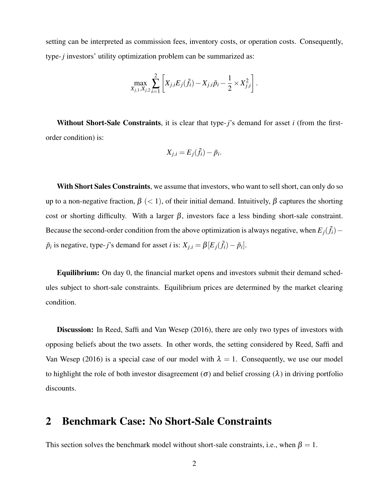setting can be interpreted as commission fees, inventory costs, or operation costs. Consequently, type-*j* investors' utility optimization problem can be summarized as:

$$
\max_{X_{j,1}, X_{j,2}} \sum_{i=1}^{2} \left[ X_{j,i} E_j(\tilde{f}_i) - X_{j,i} \tilde{p}_i - \frac{1}{2} \times X_{j,i}^2 \right].
$$

Without Short-Sale Constraints, it is clear that type-*j*'s demand for asset *i* (from the firstorder condition) is:

$$
X_{j,i} = E_j(\tilde{f}_i) - \tilde{p}_i.
$$

With Short Sales Constraints, we assume that investors, who want to sell short, can only do so up to a non-negative fraction,  $\beta$  (< 1), of their initial demand. Intuitively,  $\beta$  captures the shorting cost or shorting difficulty. With a larger  $\beta$ , investors face a less binding short-sale constraint. Because the second-order condition from the above optimization is always negative, when  $E_j(\tilde{f}_i)$  –  $\tilde{p}_i$  is negative, type-*j*'s demand for asset *i* is:  $X_{j,i} = \beta [E_j(\tilde{f}_i) - \tilde{p}_i].$ 

Equilibrium: On day 0, the financial market opens and investors submit their demand schedules subject to short-sale constraints. Equilibrium prices are determined by the market clearing condition.

**Discussion:** In Reed, Saffi and Van Wesep (2016), there are only two types of investors with opposing beliefs about the two assets. In other words, the setting considered by Reed, Saffi and Van Wesep (2016) is a special case of our model with  $\lambda = 1$ . Consequently, we use our model to highlight the role of both investor disagreement ( $\sigma$ ) and belief crossing ( $\lambda$ ) in driving portfolio discounts.

## 2 Benchmark Case: No Short-Sale Constraints

This section solves the benchmark model without short-sale constraints, i.e., when  $\beta = 1$ .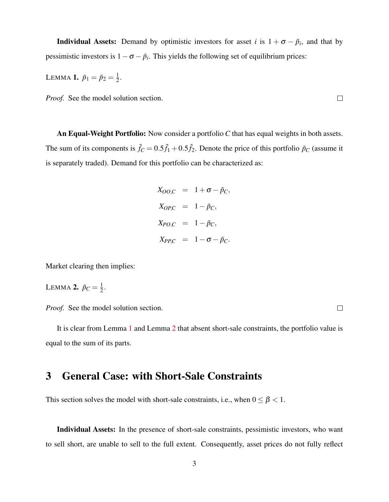**Individual Assets:** Demand by optimistic investors for asset *i* is  $1 + \sigma - \tilde{p}_i$ , and that by pessimistic investors is  $1 - \sigma - \tilde{p}_i$ . This yields the following set of equilibrium prices:

<span id="page-16-0"></span>LEMMA **1.**  $\tilde{p}_1 = \tilde{p}_2 = \frac{1}{2}$  $\frac{1}{2}$ .

*Proof.* See the model solution section.

An Equal-Weight Portfolio: Now consider a portfolio *C* that has equal weights in both assets. The sum of its components is  $\tilde{f}_C = 0.5\tilde{f}_1 + 0.5\tilde{f}_2$ . Denote the price of this portfolio  $\tilde{p}_C$  (assume it is separately traded). Demand for this portfolio can be characterized as:

$$
X_{OO,C} = 1 + \sigma - \tilde{p}_C,
$$
  
\n
$$
X_{OP,C} = 1 - \tilde{p}_C,
$$
  
\n
$$
X_{PO,C} = 1 - \tilde{p}_C,
$$
  
\n
$$
X_{PP,C} = 1 - \sigma - \tilde{p}_C.
$$

Market clearing then implies:

<span id="page-16-1"></span>LEMMA 2.  $\tilde{p}_C = \frac{1}{2}$  $\frac{1}{2}$ .

*Proof.* See the model solution section.

It is clear from Lemma [1](#page-16-0) and Lemma [2](#page-16-1) that absent short-sale constraints, the portfolio value is equal to the sum of its parts.

## 3 General Case: with Short-Sale Constraints

This section solves the model with short-sale constraints, i.e., when  $0 \leq \beta < 1$ .

Individual Assets: In the presence of short-sale constraints, pessimistic investors, who want to sell short, are unable to sell to the full extent. Consequently, asset prices do not fully reflect

 $\Box$ 

 $\Box$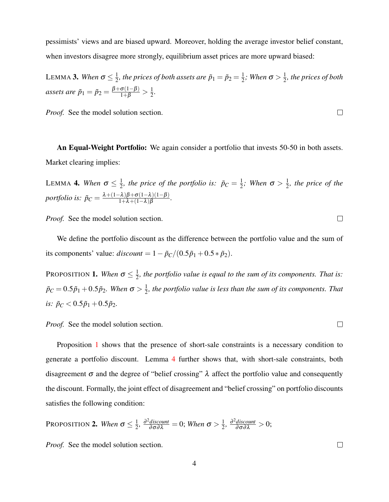pessimists' views and are biased upward. Moreover, holding the average investor belief constant, when investors disagree more strongly, equilibrium asset prices are more upward biased:

<span id="page-17-2"></span>LEMMA 3. *When*  $\sigma \leq \frac{1}{2}$  $\frac{1}{2}$ , the prices of both assets are  $\tilde{p}_1 = \tilde{p}_2 = \frac{1}{2}$  $\frac{1}{2}$ ; When  $\sigma > \frac{1}{2}$  $\frac{1}{2}$ , the prices of both *assets are*  $\tilde{p}_1 = \tilde{p}_2 = \frac{\beta + \sigma(1-\beta)}{1+\beta} > \frac{1}{2}$  $\frac{1}{2}$ .

*Proof.* See the model solution section.

An Equal-Weight Portfolio: We again consider a portfolio that invests 50-50 in both assets. Market clearing implies:

<span id="page-17-1"></span>LEMMA 4. *When*  $\sigma \leq \frac{1}{2}$  $\frac{1}{2}$ , the price of the portfolio is:  $\tilde{p}_C = \frac{1}{2}$  $\frac{1}{2}$ ; When  $\sigma > \frac{1}{2}$  $\frac{1}{2}$ , the price of the *portfolio is:*  $\tilde{p}_C = \frac{\lambda + (1-\lambda)\beta + \sigma(1-\lambda)(1-\beta)}{1+\lambda + (1-\lambda)\beta}$  $\frac{-\lambda}{1+\lambda+(1-\lambda)}\frac{\beta+O(1-\lambda)(1-\beta)}{\beta}.$ 

*Proof.* See the model solution section.

We define the portfolio discount as the difference between the portfolio value and the sum of its components' value:  $discount = 1 - \tilde{p}_C/(0.5\tilde{p}_1 + 0.5 * \tilde{p}_2)$ .

<span id="page-17-0"></span>Proposition **1.** *When*  $\sigma \leq \frac{1}{2}$  $\frac{1}{2}$ , the portfolio value is equal to the sum of its components. That is:  $\tilde{p}_C = 0.5 \tilde{p}_1 + 0.5 \tilde{p}_2$ . When  $\sigma > \frac{1}{2}$  $\frac{1}{2}$ , the portfolio value is less than the sum of its components. That *is:*  $\tilde{p}_C < 0.5\tilde{p}_1 + 0.5\tilde{p}_2$ .

*Proof.* See the model solution section.

Proposition [1](#page-17-0) shows that the presence of short-sale constraints is a necessary condition to generate a portfolio discount. Lemma [4](#page-17-1) further shows that, with short-sale constraints, both disagreement  $\sigma$  and the degree of "belief crossing"  $\lambda$  affect the portfolio value and consequently the discount. Formally, the joint effect of disagreement and "belief crossing" on portfolio discounts satisfies the following condition:

<span id="page-17-3"></span>**PROPOSITION 2.** When 
$$
\sigma \leq \frac{1}{2}
$$
,  $\frac{\partial^2 \text{discount}}{\partial \sigma \partial \lambda} = 0$ ; When  $\sigma > \frac{1}{2}$ ,  $\frac{\partial^2 \text{discount}}{\partial \sigma \partial \lambda} > 0$ ;

*Proof.* See the model solution section.

 $\Box$ 

 $\Box$ 

 $\Box$ 

 $\Box$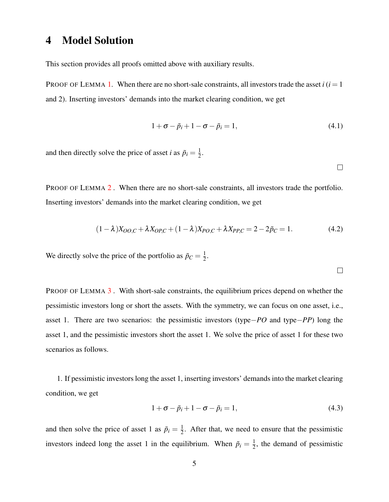## 4 Model Solution

This section provides all proofs omitted above with auxiliary results.

PROOF OF LEMMA [1](#page-16-0). When there are no short-sale constraints, all investors trade the asset  $i(i=1)$ and 2). Inserting investors' demands into the market clearing condition, we get

$$
1 + \sigma - \tilde{p}_i + 1 - \sigma - \tilde{p}_i = 1,\tag{4.1}
$$

and then directly solve the price of asset *i* as  $\tilde{p}_i = \frac{1}{2}$  $\frac{1}{2}$ .

 $\Box$ 

PROOF OF LEMMA [2](#page-16-1). When there are no short-sale constraints, all investors trade the portfolio. Inserting investors' demands into the market clearing condition, we get

$$
(1 - \lambda)X_{OO,C} + \lambda X_{OP,C} + (1 - \lambda)X_{PO,C} + \lambda X_{PP,C} = 2 - 2\tilde{p}_C = 1.
$$
 (4.2)

We directly solve the price of the portfolio as  $\tilde{p}_C = \frac{1}{2}$  $rac{1}{2}$ .

 $\Box$ 

PROOF OF LEMMA [3](#page-17-2) *.* With short-sale constraints, the equilibrium prices depend on whether the pessimistic investors long or short the assets. With the symmetry, we can focus on one asset, i.e., asset 1. There are two scenarios: the pessimistic investors (type−*PO* and type−*PP*) long the asset 1, and the pessimistic investors short the asset 1. We solve the price of asset 1 for these two scenarios as follows.

1. If pessimistic investors long the asset 1, inserting investors' demands into the market clearing condition, we get

$$
1 + \sigma - \tilde{p}_i + 1 - \sigma - \tilde{p}_i = 1, \tag{4.3}
$$

and then solve the price of asset 1 as  $\tilde{p}_i = \frac{1}{2}$  $\frac{1}{2}$ . After that, we need to ensure that the pessimistic investors indeed long the asset 1 in the equilibrium. When  $\tilde{p}_i = \frac{1}{2}$  $\frac{1}{2}$ , the demand of pessimistic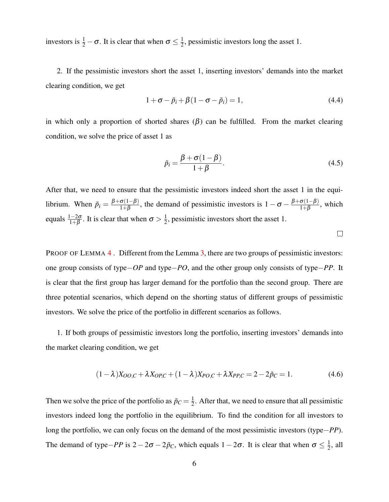investors is  $\frac{1}{2} - \sigma$ . It is clear that when  $\sigma \leq \frac{1}{2}$  $\frac{1}{2}$ , pessimistic investors long the asset 1.

2. If the pessimistic investors short the asset 1, inserting investors' demands into the market clearing condition, we get

$$
1 + \sigma - \tilde{p}_i + \beta (1 - \sigma - \tilde{p}_i) = 1, \tag{4.4}
$$

in which only a proportion of shorted shares  $(\beta)$  can be fulfilled. From the market clearing condition, we solve the price of asset 1 as

$$
\tilde{p}_i = \frac{\beta + \sigma(1 - \beta)}{1 + \beta}.
$$
\n(4.5)

After that, we need to ensure that the pessimistic investors indeed short the asset 1 in the equilibrium. When  $\tilde{p}_i = \frac{\beta + \sigma(1-\beta)}{1+\beta}$  $\frac{\sigma(1-\beta)}{1+\beta}$ , the demand of pessimistic investors is  $1-\sigma-\frac{\beta+\sigma(1-\beta)}{1+\beta}$  $\frac{O(1-p)}{1+\beta}$ , which equals  $\frac{1-2\sigma}{1+\beta}$ . It is clear that when  $\sigma > \frac{1}{2}$  $\frac{1}{2}$ , pessimistic investors short the asset 1.

 $\Box$ 

PROOF OF LEMMA [4](#page-17-1). Different from the Lemma [3,](#page-17-2) there are two groups of pessimistic investors: one group consists of type−*OP* and type−*PO*, and the other group only consists of type−*PP*. It is clear that the first group has larger demand for the portfolio than the second group. There are three potential scenarios, which depend on the shorting status of different groups of pessimistic investors. We solve the price of the portfolio in different scenarios as follows.

1. If both groups of pessimistic investors long the portfolio, inserting investors' demands into the market clearing condition, we get

$$
(1 - \lambda)X_{OO,C} + \lambda X_{OP,C} + (1 - \lambda)X_{PO,C} + \lambda X_{PP,C} = 2 - 2\tilde{p}_C = 1.
$$
 (4.6)

Then we solve the price of the portfolio as  $\tilde{p}_C = \frac{1}{2}$  $\frac{1}{2}$ . After that, we need to ensure that all pessimistic investors indeed long the portfolio in the equilibrium. To find the condition for all investors to long the portfolio, we can only focus on the demand of the most pessimistic investors (type−*PP*). The demand of type $-PP$  is  $2-2\sigma-2\tilde{p}_C$ , which equals  $1-2\sigma$ . It is clear that when  $\sigma \leq \frac{1}{2}$  $\frac{1}{2}$ , all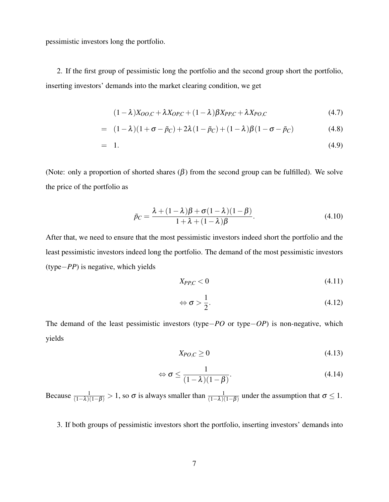pessimistic investors long the portfolio.

2. If the first group of pessimistic long the portfolio and the second group short the portfolio, inserting investors' demands into the market clearing condition, we get

$$
(1 - \lambda)X_{OO,C} + \lambda X_{OP,C} + (1 - \lambda)\beta X_{PP,C} + \lambda X_{PO,C}
$$
\n(4.7)

$$
= (1 - \lambda)(1 + \sigma - \tilde{p}_C) + 2\lambda(1 - \tilde{p}_C) + (1 - \lambda)\beta(1 - \sigma - \tilde{p}_C)
$$
 (4.8)

$$
= 1. \t(4.9)
$$

(Note: only a proportion of shorted shares  $(\beta)$  from the second group can be fulfilled). We solve the price of the portfolio as

$$
\tilde{p}_C = \frac{\lambda + (1 - \lambda)\beta + \sigma(1 - \lambda)(1 - \beta)}{1 + \lambda + (1 - \lambda)\beta}.
$$
\n(4.10)

After that, we need to ensure that the most pessimistic investors indeed short the portfolio and the least pessimistic investors indeed long the portfolio. The demand of the most pessimistic investors (type−*PP*) is negative, which yields

$$
X_{PP,C} < 0 \tag{4.11}
$$

$$
\Leftrightarrow \sigma > \frac{1}{2}.\tag{4.12}
$$

The demand of the least pessimistic investors (type−*PO* or type−*OP*) is non-negative, which yields

$$
X_{PO,C} \ge 0\tag{4.13}
$$

$$
\Leftrightarrow \sigma \le \frac{1}{(1-\lambda)(1-\beta)}.\tag{4.14}
$$

Because  $\frac{1}{(1-\lambda)(1-\beta)} > 1$ , so  $\sigma$  is always smaller than  $\frac{1}{(1-\lambda)(1-\beta)}$  under the assumption that  $\sigma \le 1$ .

3. If both groups of pessimistic investors short the portfolio, inserting investors' demands into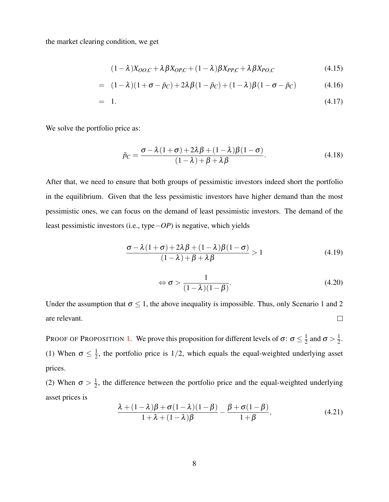the market clearing condition, we get

$$
(1 - \lambda)X_{OO,C} + \lambda \beta X_{OP,C} + (1 - \lambda)\beta X_{PP,C} + \lambda \beta X_{PO,C}
$$
\n(4.15)

= 
$$
(1 - \lambda)(1 + \sigma - \tilde{p}_C) + 2\lambda\beta(1 - \tilde{p}_C) + (1 - \lambda)\beta(1 - \sigma - \tilde{p}_C)
$$
 (4.16)

$$
= 1. \t(4.17)
$$

We solve the portfolio price as:

$$
\tilde{p}_C = \frac{\sigma - \lambda (1 + \sigma) + 2\lambda \beta + (1 - \lambda)\beta (1 - \sigma)}{(1 - \lambda) + \beta + \lambda \beta}.
$$
\n(4.18)

After that, we need to ensure that both groups of pessimistic investors indeed short the portfolio in the equilibrium. Given that the less pessimistic investors have higher demand than the most pessimistic ones, we can focus on the demand of least pessimistic investors. The demand of the least pessimistic investors (i.e., type−*OP*) is negative, which yields

$$
\frac{\sigma - \lambda(1 + \sigma) + 2\lambda\beta + (1 - \lambda)\beta(1 - \sigma)}{(1 - \lambda) + \beta + \lambda\beta} > 1
$$
\n(4.19)

$$
\Leftrightarrow \sigma > \frac{1}{(1-\lambda)(1-\beta)}.\tag{4.20}
$$

Under the assumption that  $\sigma \leq 1$ , the above inequality is impossible. Thus, only Scenario 1 and 2 are relevant.  $\Box$ 

PROOF OF PROPOSITION [1](#page-17-0). We prove this proposition for different levels of  $\sigma: \sigma \leq \frac{1}{2}$  $\frac{1}{2}$  and  $\sigma > \frac{1}{2}$  $rac{1}{2}$ . (1) When  $\sigma \leq \frac{1}{2}$  $\frac{1}{2}$ , the portfolio price is 1/2, which equals the equal-weighted underlying asset prices.

(2) When  $\sigma > \frac{1}{2}$  $\frac{1}{2}$ , the difference between the portfolio price and the equal-weighted underlying asset prices is

$$
\frac{\lambda + (1 - \lambda)\beta + \sigma(1 - \lambda)(1 - \beta)}{1 + \lambda + (1 - \lambda)\beta} - \frac{\beta + \sigma(1 - \beta)}{1 + \beta},
$$
\n(4.21)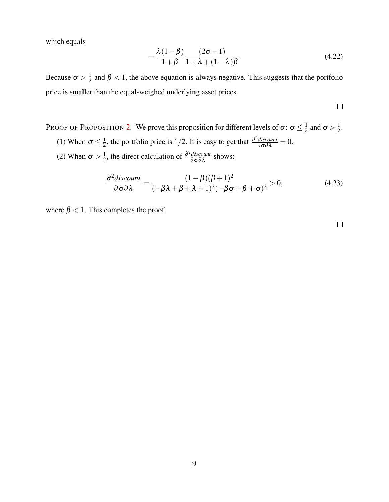which equals

$$
-\frac{\lambda(1-\beta)}{1+\beta}\frac{(2\sigma-1)}{1+\lambda+(1-\lambda)\beta}.
$$
\n(4.22)

Because  $\sigma > \frac{1}{2}$  $\frac{1}{2}$  and  $\beta$  < 1, the above equation is always negative. This suggests that the portfolio price is smaller than the equal-weighed underlying asset prices.

 $\Box$ 

PROOF OF PROPOSITION [2](#page-17-3). We prove this proposition for different levels of  $\sigma$ :  $\sigma \leq \frac{1}{2}$  $\frac{1}{2}$  and  $\sigma > \frac{1}{2}$  $\frac{1}{2}$ . (1) When  $\sigma \leq \frac{1}{2}$  $\frac{1}{2}$ , the portfolio price is 1/2. It is easy to get that  $\frac{\partial^2 \text{discount}}{\partial \sigma \partial \lambda} = 0$ . (2) When  $\sigma > \frac{1}{2}$  $\frac{1}{2}$ , the direct calculation of  $\frac{\partial^2 \text{discount}}{\partial \sigma \partial \lambda}$  shows:

$$
\frac{\partial^2 \text{discount}}{\partial \sigma \partial \lambda} = \frac{(1 - \beta)(\beta + 1)^2}{(-\beta \lambda + \beta + \lambda + 1)^2(-\beta \sigma + \beta + \sigma)^2} > 0,
$$
\n(4.23)

where  $\beta$  < 1. This completes the proof.

 $\Box$